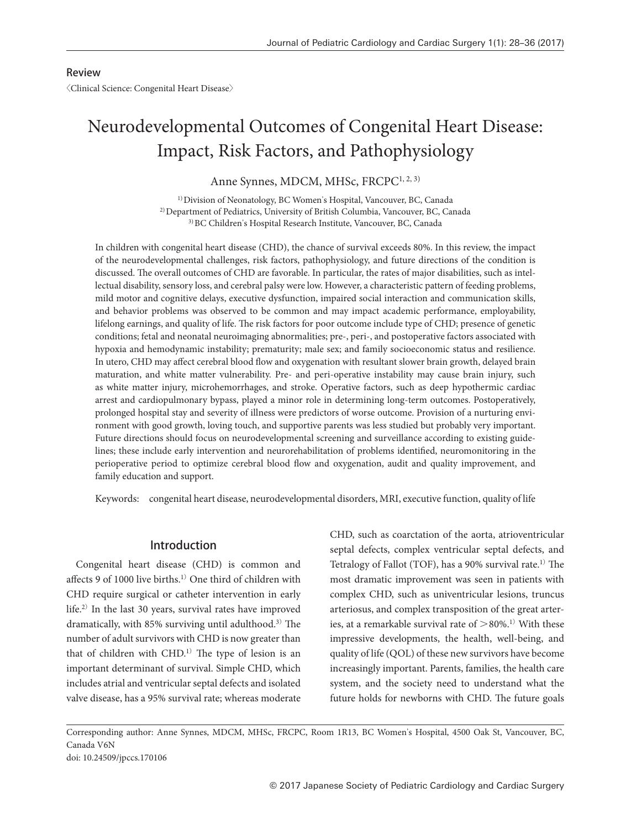## Review

〈Clinical Science: Congenital Heart Disease〉

# Neurodevelopmental Outcomes of Congenital Heart Disease: Impact, Risk Factors, and Pathophysiology

Anne Synnes, MDCM, MHSc, FRCPC<sup>1, 2, 3)</sup>

1) Division of Neonatology, BC Women's Hospital, Vancouver, BC, Canada 2) Department of Pediatrics, University of British Columbia, Vancouver, BC, Canada 3) BC Children's Hospital Research Institute, Vancouver, BC, Canada

In children with congenital heart disease (CHD), the chance of survival exceeds 80%. In this review, the impact of the neurodevelopmental challenges, risk factors, pathophysiology, and future directions of the condition is discussed. The overall outcomes of CHD are favorable. In particular, the rates of major disabilities, such as intellectual disability, sensory loss, and cerebral palsy were low. However, a characteristic pattern of feeding problems, mild motor and cognitive delays, executive dysfunction, impaired social interaction and communication skills, and behavior problems was observed to be common and may impact academic performance, employability, lifelong earnings, and quality of life. The risk factors for poor outcome include type of CHD; presence of genetic conditions; fetal and neonatal neuroimaging abnormalities; pre-, peri-, and postoperative factors associated with hypoxia and hemodynamic instability; prematurity; male sex; and family socioeconomic status and resilience. In utero, CHD may affect cerebral blood flow and oxygenation with resultant slower brain growth, delayed brain maturation, and white matter vulnerability. Pre- and peri-operative instability may cause brain injury, such as white matter injury, microhemorrhages, and stroke. Operative factors, such as deep hypothermic cardiac arrest and cardiopulmonary bypass, played a minor role in determining long-term outcomes. Postoperatively, prolonged hospital stay and severity of illness were predictors of worse outcome. Provision of a nurturing environment with good growth, loving touch, and supportive parents was less studied but probably very important. Future directions should focus on neurodevelopmental screening and surveillance according to existing guidelines; these include early intervention and neurorehabilitation of problems identified, neuromonitoring in the perioperative period to optimize cerebral blood flow and oxygenation, audit and quality improvement, and family education and support.

Keywords: congenital heart disease, neurodevelopmental disorders, MRI, executive function, quality of life

## Introduction

Congenital heart disease (CHD) is common and affects 9 of 1000 live births.<sup>1)</sup> One third of children with CHD require surgical or catheter intervention in early life.2) In the last 30 years, survival rates have improved dramatically, with 85% surviving until adulthood.3) The number of adult survivors with CHD is now greater than that of children with CHD.1) The type of lesion is an important determinant of survival. Simple CHD, which includes atrial and ventricular septal defects and isolated valve disease, has a 95% survival rate; whereas moderate

CHD, such as coarctation of the aorta, atrioventricular septal defects, complex ventricular septal defects, and Tetralogy of Fallot (TOF), has a 90% survival rate.1) The most dramatic improvement was seen in patients with complex CHD, such as univentricular lesions, truncus arteriosus, and complex transposition of the great arteries, at a remarkable survival rate of  $> 80\%$ .<sup>1)</sup> With these impressive developments, the health, well-being, and quality of life (QOL) of these new survivors have become increasingly important. Parents, families, the health care system, and the society need to understand what the future holds for newborns with CHD. The future goals

Corresponding author: Anne Synnes, MDCM, MHSc, FRCPC, Room 1R13, BC Women's Hospital, 4500 Oak St, Vancouver, BC, Canada V6N doi: 10.24509/jpccs.170106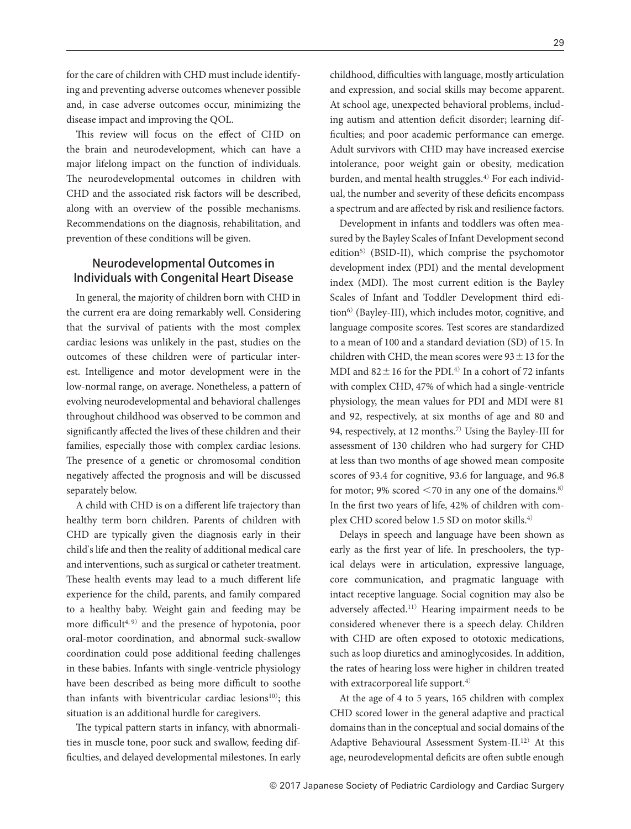for the care of children with CHD must include identifying and preventing adverse outcomes whenever possible and, in case adverse outcomes occur, minimizing the disease impact and improving the QOL.

This review will focus on the effect of CHD on the brain and neurodevelopment, which can have a major lifelong impact on the function of individuals. The neurodevelopmental outcomes in children with CHD and the associated risk factors will be described, along with an overview of the possible mechanisms. Recommendations on the diagnosis, rehabilitation, and prevention of these conditions will be given.

# Neurodevelopmental Outcomes in Individuals with Congenital Heart Disease

In general, the majority of children born with CHD in the current era are doing remarkably well. Considering that the survival of patients with the most complex cardiac lesions was unlikely in the past, studies on the outcomes of these children were of particular interest. Intelligence and motor development were in the low-normal range, on average. Nonetheless, a pattern of evolving neurodevelopmental and behavioral challenges throughout childhood was observed to be common and significantly affected the lives of these children and their families, especially those with complex cardiac lesions. The presence of a genetic or chromosomal condition negatively affected the prognosis and will be discussed separately below.

A child with CHD is on a different life trajectory than healthy term born children. Parents of children with CHD are typically given the diagnosis early in their child's life and then the reality of additional medical care and interventions, such as surgical or catheter treatment. These health events may lead to a much different life experience for the child, parents, and family compared to a healthy baby. Weight gain and feeding may be more difficult<sup>4, 9)</sup> and the presence of hypotonia, poor oral-motor coordination, and abnormal suck-swallow coordination could pose additional feeding challenges in these babies. Infants with single-ventricle physiology have been described as being more difficult to soothe than infants with biventricular cardiac lesions $10$ ; this situation is an additional hurdle for caregivers.

The typical pattern starts in infancy, with abnormalities in muscle tone, poor suck and swallow, feeding difficulties, and delayed developmental milestones. In early childhood, difficulties with language, mostly articulation and expression, and social skills may become apparent. At school age, unexpected behavioral problems, including autism and attention deficit disorder; learning difficulties; and poor academic performance can emerge. Adult survivors with CHD may have increased exercise intolerance, poor weight gain or obesity, medication burden, and mental health struggles. $4$ <sup>t</sup> For each individual, the number and severity of these deficits encompass a spectrum and are affected by risk and resilience factors.

Development in infants and toddlers was often measured by the Bayley Scales of Infant Development second edition<sup>5)</sup> (BSID-II), which comprise the psychomotor development index (PDI) and the mental development index (MDI). The most current edition is the Bayley Scales of Infant and Toddler Development third edition<sup>6)</sup> (Bayley-III), which includes motor, cognitive, and language composite scores. Test scores are standardized to a mean of 100 and a standard deviation (SD) of 15. In children with CHD, the mean scores were  $93 \pm 13$  for the MDI and  $82 \pm 16$  for the PDI.<sup>4)</sup> In a cohort of 72 infants with complex CHD, 47% of which had a single-ventricle physiology, the mean values for PDI and MDI were 81 and 92, respectively, at six months of age and 80 and 94, respectively, at 12 months.7) Using the Bayley-III for assessment of 130 children who had surgery for CHD at less than two months of age showed mean composite scores of 93.4 for cognitive, 93.6 for language, and 96.8 for motor; 9% scored  $\leq$  70 in any one of the domains.<sup>8)</sup> In the first two years of life, 42% of children with complex CHD scored below 1.5 SD on motor skills.4)

Delays in speech and language have been shown as early as the first year of life. In preschoolers, the typical delays were in articulation, expressive language, core communication, and pragmatic language with intact receptive language. Social cognition may also be adversely affected.11) Hearing impairment needs to be considered whenever there is a speech delay. Children with CHD are often exposed to ototoxic medications, such as loop diuretics and aminoglycosides. In addition, the rates of hearing loss were higher in children treated with extracorporeal life support.<sup>4)</sup>

At the age of 4 to 5 years, 165 children with complex CHD scored lower in the general adaptive and practical domains than in the conceptual and social domains of the Adaptive Behavioural Assessment System-II.12) At this age, neurodevelopmental deficits are often subtle enough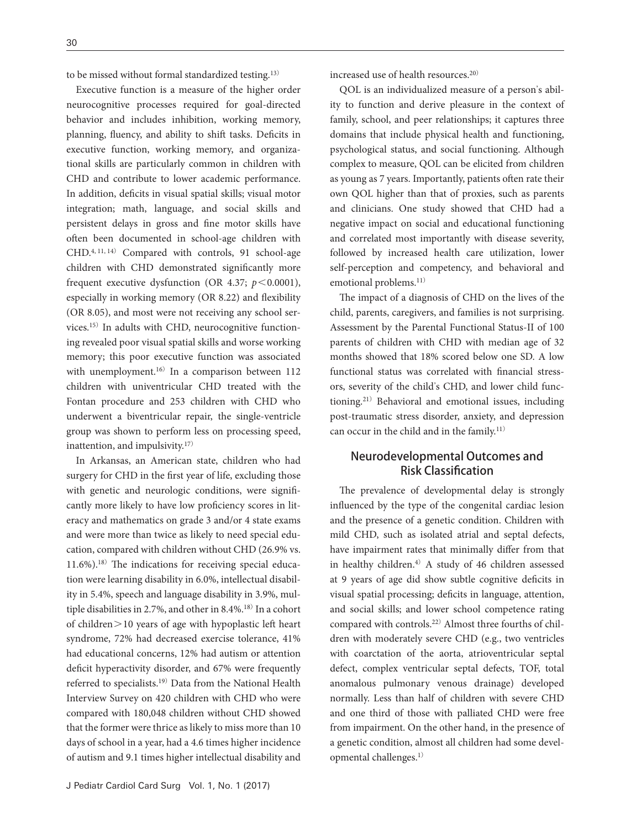to be missed without formal standardized testing.13)

Executive function is a measure of the higher order neurocognitive processes required for goal-directed behavior and includes inhibition, working memory, planning, fluency, and ability to shift tasks. Deficits in executive function, working memory, and organizational skills are particularly common in children with CHD and contribute to lower academic performance. In addition, deficits in visual spatial skills; visual motor integration; math, language, and social skills and persistent delays in gross and fine motor skills have often been documented in school-age children with CHD.4, 11, 14) Compared with controls, 91 school-age children with CHD demonstrated significantly more frequent executive dysfunction (OR 4.37;  $p < 0.0001$ ), especially in working memory (OR 8.22) and flexibility (OR 8.05), and most were not receiving any school services.15) In adults with CHD, neurocognitive functioning revealed poor visual spatial skills and worse working memory; this poor executive function was associated with unemployment.<sup>16)</sup> In a comparison between 112 children with univentricular CHD treated with the Fontan procedure and 253 children with CHD who underwent a biventricular repair, the single-ventricle group was shown to perform less on processing speed, inattention, and impulsivity.17)

In Arkansas, an American state, children who had surgery for CHD in the first year of life, excluding those with genetic and neurologic conditions, were significantly more likely to have low proficiency scores in literacy and mathematics on grade 3 and/or 4 state exams and were more than twice as likely to need special education, compared with children without CHD (26.9% vs. 11.6%).18) The indications for receiving special education were learning disability in 6.0%, intellectual disability in 5.4%, speech and language disability in 3.9%, multiple disabilities in 2.7%, and other in 8.4%.<sup>18)</sup> In a cohort of children>10 years of age with hypoplastic left heart syndrome, 72% had decreased exercise tolerance, 41% had educational concerns, 12% had autism or attention deficit hyperactivity disorder, and 67% were frequently referred to specialists.19) Data from the National Health Interview Survey on 420 children with CHD who were compared with 180,048 children without CHD showed that the former were thrice as likely to miss more than 10 days of school in a year, had a 4.6 times higher incidence of autism and 9.1 times higher intellectual disability and increased use of health resources.20)

QOL is an individualized measure of a person's ability to function and derive pleasure in the context of family, school, and peer relationships; it captures three domains that include physical health and functioning, psychological status, and social functioning. Although complex to measure, QOL can be elicited from children as young as 7 years. Importantly, patients often rate their own QOL higher than that of proxies, such as parents and clinicians. One study showed that CHD had a negative impact on social and educational functioning and correlated most importantly with disease severity, followed by increased health care utilization, lower self-perception and competency, and behavioral and emotional problems.<sup>11)</sup>

The impact of a diagnosis of CHD on the lives of the child, parents, caregivers, and families is not surprising. Assessment by the Parental Functional Status-II of 100 parents of children with CHD with median age of 32 months showed that 18% scored below one SD. A low functional status was correlated with financial stressors, severity of the child's CHD, and lower child functioning.21) Behavioral and emotional issues, including post-traumatic stress disorder, anxiety, and depression can occur in the child and in the family.<sup>11)</sup>

# Neurodevelopmental Outcomes and Risk Classification

The prevalence of developmental delay is strongly influenced by the type of the congenital cardiac lesion and the presence of a genetic condition. Children with mild CHD, such as isolated atrial and septal defects, have impairment rates that minimally differ from that in healthy children. $4$ <sup>)</sup> A study of 46 children assessed at 9 years of age did show subtle cognitive deficits in visual spatial processing; deficits in language, attention, and social skills; and lower school competence rating compared with controls.22) Almost three fourths of children with moderately severe CHD (e.g., two ventricles with coarctation of the aorta, atrioventricular septal defect, complex ventricular septal defects, TOF, total anomalous pulmonary venous drainage) developed normally. Less than half of children with severe CHD and one third of those with palliated CHD were free from impairment. On the other hand, in the presence of a genetic condition, almost all children had some developmental challenges.1)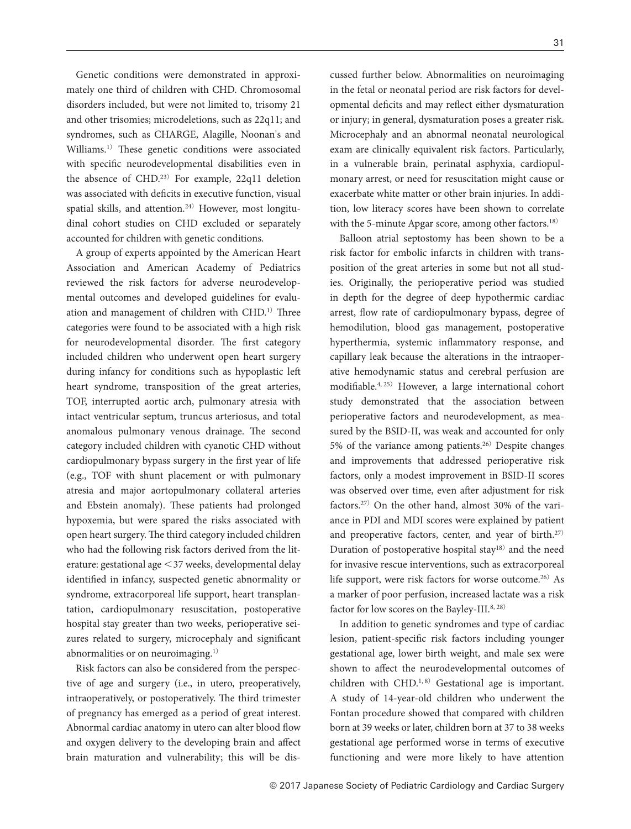Genetic conditions were demonstrated in approximately one third of children with CHD. Chromosomal disorders included, but were not limited to, trisomy 21 and other trisomies; microdeletions, such as 22q11; and syndromes, such as CHARGE, Alagille, Noonan's and Williams.1) These genetic conditions were associated with specific neurodevelopmental disabilities even in the absence of CHD.23) For example, 22q11 deletion was associated with deficits in executive function, visual spatial skills, and attention.<sup>24)</sup> However, most longitudinal cohort studies on CHD excluded or separately accounted for children with genetic conditions.

A group of experts appointed by the American Heart Association and American Academy of Pediatrics reviewed the risk factors for adverse neurodevelopmental outcomes and developed guidelines for evaluation and management of children with CHD.<sup>1)</sup> Three categories were found to be associated with a high risk for neurodevelopmental disorder. The first category included children who underwent open heart surgery during infancy for conditions such as hypoplastic left heart syndrome, transposition of the great arteries, TOF, interrupted aortic arch, pulmonary atresia with intact ventricular septum, truncus arteriosus, and total anomalous pulmonary venous drainage. The second category included children with cyanotic CHD without cardiopulmonary bypass surgery in the first year of life (e.g., TOF with shunt placement or with pulmonary atresia and major aortopulmonary collateral arteries and Ebstein anomaly). These patients had prolonged hypoxemia, but were spared the risks associated with open heart surgery. The third category included children who had the following risk factors derived from the literature: gestational age <37 weeks, developmental delay identified in infancy, suspected genetic abnormality or syndrome, extracorporeal life support, heart transplantation, cardiopulmonary resuscitation, postoperative hospital stay greater than two weeks, perioperative seizures related to surgery, microcephaly and significant abnormalities or on neuroimaging.1)

Risk factors can also be considered from the perspective of age and surgery (i.e., in utero, preoperatively, intraoperatively, or postoperatively. The third trimester of pregnancy has emerged as a period of great interest. Abnormal cardiac anatomy in utero can alter blood flow and oxygen delivery to the developing brain and affect brain maturation and vulnerability; this will be discussed further below. Abnormalities on neuroimaging in the fetal or neonatal period are risk factors for developmental deficits and may reflect either dysmaturation or injury; in general, dysmaturation poses a greater risk. Microcephaly and an abnormal neonatal neurological exam are clinically equivalent risk factors. Particularly, in a vulnerable brain, perinatal asphyxia, cardiopulmonary arrest, or need for resuscitation might cause or exacerbate white matter or other brain injuries. In addition, low literacy scores have been shown to correlate with the 5-minute Apgar score, among other factors.<sup>18)</sup>

Balloon atrial septostomy has been shown to be a risk factor for embolic infarcts in children with transposition of the great arteries in some but not all studies. Originally, the perioperative period was studied in depth for the degree of deep hypothermic cardiac arrest, flow rate of cardiopulmonary bypass, degree of hemodilution, blood gas management, postoperative hyperthermia, systemic inflammatory response, and capillary leak because the alterations in the intraoperative hemodynamic status and cerebral perfusion are modifiable.4, 25) However, a large international cohort study demonstrated that the association between perioperative factors and neurodevelopment, as measured by the BSID-II, was weak and accounted for only 5% of the variance among patients.26) Despite changes and improvements that addressed perioperative risk factors, only a modest improvement in BSID-II scores was observed over time, even after adjustment for risk factors.27) On the other hand, almost 30% of the variance in PDI and MDI scores were explained by patient and preoperative factors, center, and year of birth.<sup>27)</sup> Duration of postoperative hospital stay $18$  and the need for invasive rescue interventions, such as extracorporeal life support, were risk factors for worse outcome.26) As a marker of poor perfusion, increased lactate was a risk factor for low scores on the Bayley-III.<sup>8, 28)</sup>

In addition to genetic syndromes and type of cardiac lesion, patient-specific risk factors including younger gestational age, lower birth weight, and male sex were shown to affect the neurodevelopmental outcomes of children with CHD.<sup>1, 8)</sup> Gestational age is important. A study of 14-year-old children who underwent the Fontan procedure showed that compared with children born at 39 weeks or later, children born at 37 to 38 weeks gestational age performed worse in terms of executive functioning and were more likely to have attention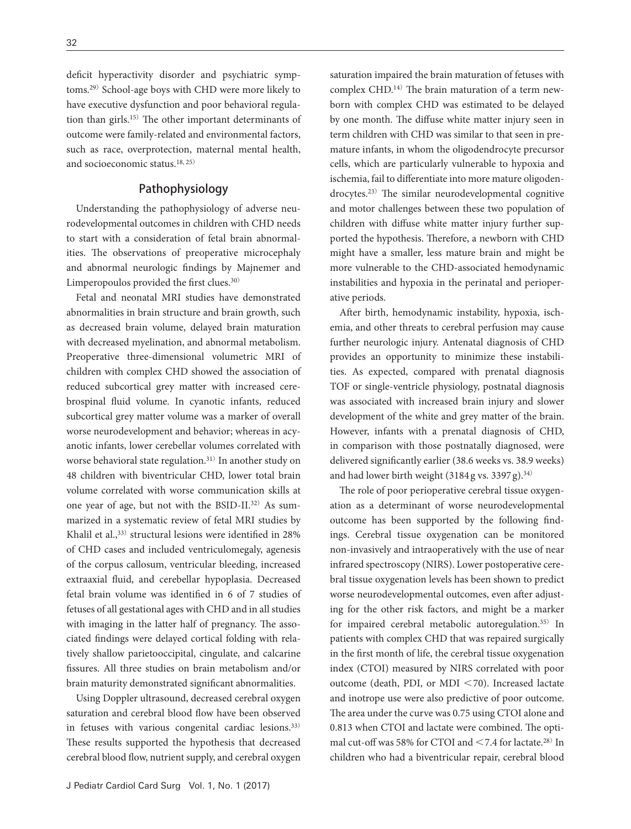deficit hyperactivity disorder and psychiatric symptoms.29) School-age boys with CHD were more likely to have executive dysfunction and poor behavioral regulation than girls.15) The other important determinants of outcome were family-related and environmental factors, such as race, overprotection, maternal mental health, and socioeconomic status.18, 25)

## Pathophysiology

Understanding the pathophysiology of adverse neurodevelopmental outcomes in children with CHD needs to start with a consideration of fetal brain abnormalities. The observations of preoperative microcephaly and abnormal neurologic findings by Majnemer and Limperopoulos provided the first clues.30)

Fetal and neonatal MRI studies have demonstrated abnormalities in brain structure and brain growth, such as decreased brain volume, delayed brain maturation with decreased myelination, and abnormal metabolism. Preoperative three-dimensional volumetric MRI of children with complex CHD showed the association of reduced subcortical grey matter with increased cerebrospinal fluid volume. In cyanotic infants, reduced subcortical grey matter volume was a marker of overall worse neurodevelopment and behavior; whereas in acyanotic infants, lower cerebellar volumes correlated with worse behavioral state regulation.31) In another study on 48 children with biventricular CHD, lower total brain volume correlated with worse communication skills at one year of age, but not with the BSID-II.<sup>32)</sup> As summarized in a systematic review of fetal MRI studies by Khalil et al.,<sup>33)</sup> structural lesions were identified in 28% of CHD cases and included ventriculomegaly, agenesis of the corpus callosum, ventricular bleeding, increased extraaxial fluid, and cerebellar hypoplasia. Decreased fetal brain volume was identified in 6 of 7 studies of fetuses of all gestational ages with CHD and in all studies with imaging in the latter half of pregnancy. The associated findings were delayed cortical folding with relatively shallow parietooccipital, cingulate, and calcarine fissures. All three studies on brain metabolism and/or brain maturity demonstrated significant abnormalities.

Using Doppler ultrasound, decreased cerebral oxygen saturation and cerebral blood flow have been observed in fetuses with various congenital cardiac lesions.33) These results supported the hypothesis that decreased cerebral blood flow, nutrient supply, and cerebral oxygen saturation impaired the brain maturation of fetuses with complex CHD.14) The brain maturation of a term newborn with complex CHD was estimated to be delayed by one month. The diffuse white matter injury seen in term children with CHD was similar to that seen in premature infants, in whom the oligodendrocyte precursor cells, which are particularly vulnerable to hypoxia and ischemia, fail to differentiate into more mature oligodendrocytes.23) The similar neurodevelopmental cognitive and motor challenges between these two population of children with diffuse white matter injury further supported the hypothesis. Therefore, a newborn with CHD might have a smaller, less mature brain and might be more vulnerable to the CHD-associated hemodynamic instabilities and hypoxia in the perinatal and perioperative periods.

After birth, hemodynamic instability, hypoxia, ischemia, and other threats to cerebral perfusion may cause further neurologic injury. Antenatal diagnosis of CHD provides an opportunity to minimize these instabilities. As expected, compared with prenatal diagnosis TOF or single-ventricle physiology, postnatal diagnosis was associated with increased brain injury and slower development of the white and grey matter of the brain. However, infants with a prenatal diagnosis of CHD, in comparison with those postnatally diagnosed, were delivered significantly earlier (38.6 weeks vs. 38.9 weeks) and had lower birth weight (3184 g vs. 3397 g).<sup>34)</sup>

The role of poor perioperative cerebral tissue oxygenation as a determinant of worse neurodevelopmental outcome has been supported by the following findings. Cerebral tissue oxygenation can be monitored non-invasively and intraoperatively with the use of near infrared spectroscopy (NIRS). Lower postoperative cerebral tissue oxygenation levels has been shown to predict worse neurodevelopmental outcomes, even after adjusting for the other risk factors, and might be a marker for impaired cerebral metabolic autoregulation.35) In patients with complex CHD that was repaired surgically in the first month of life, the cerebral tissue oxygenation index (CTOI) measured by NIRS correlated with poor outcome (death, PDI, or MDI <70). Increased lactate and inotrope use were also predictive of poor outcome. The area under the curve was 0.75 using CTOI alone and 0.813 when CTOI and lactate were combined. The optimal cut-off was 58% for CTOI and <7.4 for lactate.28) In children who had a biventricular repair, cerebral blood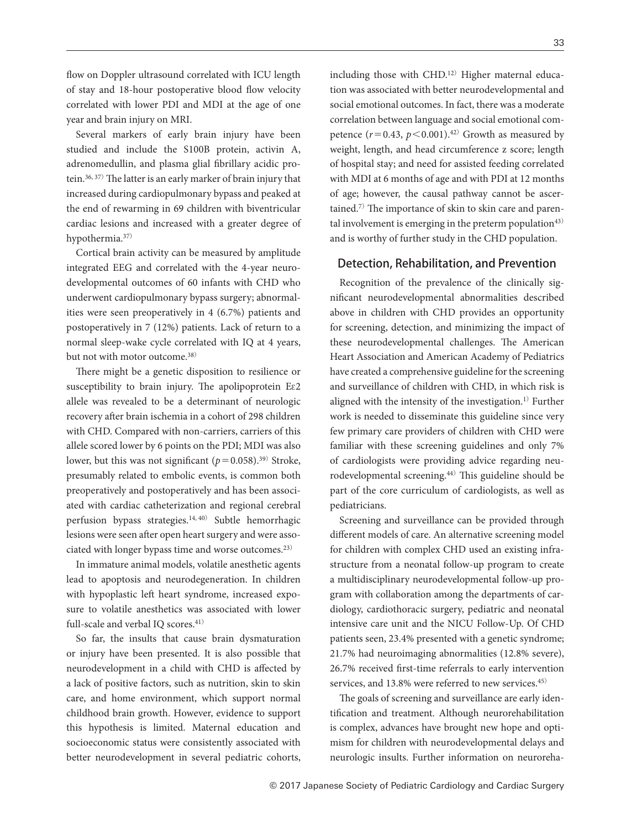flow on Doppler ultrasound correlated with ICU length of stay and 18-hour postoperative blood flow velocity correlated with lower PDI and MDI at the age of one year and brain injury on MRI.

Several markers of early brain injury have been studied and include the S100B protein, activin A, adrenomedullin, and plasma glial fibrillary acidic protein.36, 37) The latter is an early marker of brain injury that increased during cardiopulmonary bypass and peaked at the end of rewarming in 69 children with biventricular cardiac lesions and increased with a greater degree of hypothermia.37)

Cortical brain activity can be measured by amplitude integrated EEG and correlated with the 4-year neurodevelopmental outcomes of 60 infants with CHD who underwent cardiopulmonary bypass surgery; abnormalities were seen preoperatively in 4 (6.7%) patients and postoperatively in 7 (12%) patients. Lack of return to a normal sleep-wake cycle correlated with IQ at 4 years, but not with motor outcome.<sup>38)</sup>

There might be a genetic disposition to resilience or susceptibility to brain injury. The apolipoprotein Eɛ2 allele was revealed to be a determinant of neurologic recovery after brain ischemia in a cohort of 298 children with CHD. Compared with non-carriers, carriers of this allele scored lower by 6 points on the PDI; MDI was also lower, but this was not significant  $(p=0.058)$ .<sup>39)</sup> Stroke, presumably related to embolic events, is common both preoperatively and postoperatively and has been associated with cardiac catheterization and regional cerebral perfusion bypass strategies.14, 40) Subtle hemorrhagic lesions were seen after open heart surgery and were associated with longer bypass time and worse outcomes.23)

In immature animal models, volatile anesthetic agents lead to apoptosis and neurodegeneration. In children with hypoplastic left heart syndrome, increased exposure to volatile anesthetics was associated with lower full-scale and verbal IQ scores.<sup>41)</sup>

So far, the insults that cause brain dysmaturation or injury have been presented. It is also possible that neurodevelopment in a child with CHD is affected by a lack of positive factors, such as nutrition, skin to skin care, and home environment, which support normal childhood brain growth. However, evidence to support this hypothesis is limited. Maternal education and socioeconomic status were consistently associated with better neurodevelopment in several pediatric cohorts, including those with CHD.<sup>12)</sup> Higher maternal education was associated with better neurodevelopmental and social emotional outcomes. In fact, there was a moderate correlation between language and social emotional competence  $(r=0.43, p<0.001).^{42}$  Growth as measured by weight, length, and head circumference z score; length of hospital stay; and need for assisted feeding correlated with MDI at 6 months of age and with PDI at 12 months of age; however, the causal pathway cannot be ascertained.7) The importance of skin to skin care and parental involvement is emerging in the preterm population<sup>43)</sup> and is worthy of further study in the CHD population.

## Detection, Rehabilitation, and Prevention

Recognition of the prevalence of the clinically significant neurodevelopmental abnormalities described above in children with CHD provides an opportunity for screening, detection, and minimizing the impact of these neurodevelopmental challenges. The American Heart Association and American Academy of Pediatrics have created a comprehensive guideline for the screening and surveillance of children with CHD, in which risk is aligned with the intensity of the investigation.1) Further work is needed to disseminate this guideline since very few primary care providers of children with CHD were familiar with these screening guidelines and only 7% of cardiologists were providing advice regarding neurodevelopmental screening.44) This guideline should be part of the core curriculum of cardiologists, as well as pediatricians.

Screening and surveillance can be provided through different models of care. An alternative screening model for children with complex CHD used an existing infrastructure from a neonatal follow-up program to create a multidisciplinary neurodevelopmental follow-up program with collaboration among the departments of cardiology, cardiothoracic surgery, pediatric and neonatal intensive care unit and the NICU Follow-Up. Of CHD patients seen, 23.4% presented with a genetic syndrome; 21.7% had neuroimaging abnormalities (12.8% severe), 26.7% received first-time referrals to early intervention services, and 13.8% were referred to new services.<sup>45)</sup>

The goals of screening and surveillance are early identification and treatment. Although neurorehabilitation is complex, advances have brought new hope and optimism for children with neurodevelopmental delays and neurologic insults. Further information on neuroreha-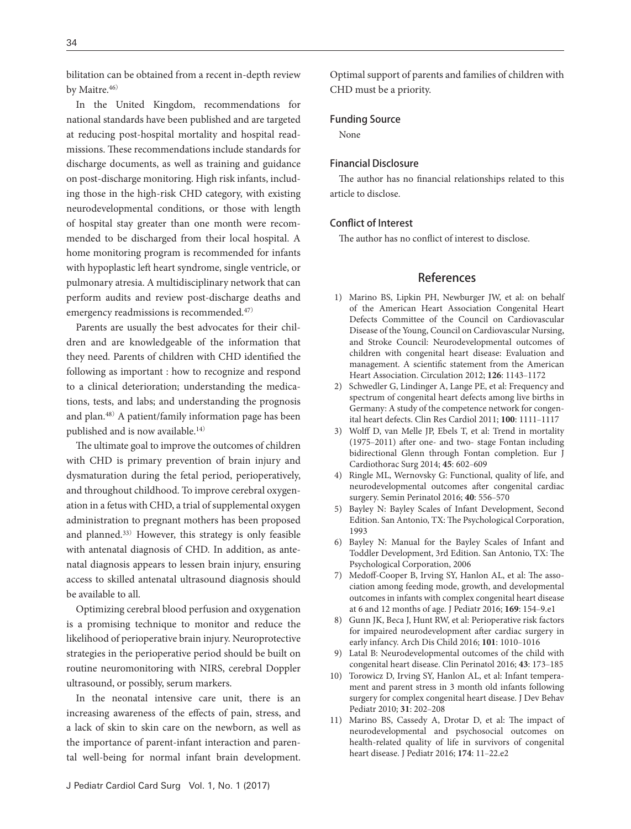bilitation can be obtained from a recent in-depth review by Maitre.<sup>46)</sup>

In the United Kingdom, recommendations for national standards have been published and are targeted at reducing post-hospital mortality and hospital readmissions. These recommendations include standards for discharge documents, as well as training and guidance on post-discharge monitoring. High risk infants, including those in the high-risk CHD category, with existing neurodevelopmental conditions, or those with length of hospital stay greater than one month were recommended to be discharged from their local hospital. A home monitoring program is recommended for infants with hypoplastic left heart syndrome, single ventricle, or pulmonary atresia. A multidisciplinary network that can perform audits and review post-discharge deaths and emergency readmissions is recommended.<sup>47)</sup>

Parents are usually the best advocates for their children and are knowledgeable of the information that they need. Parents of children with CHD identified the following as important : how to recognize and respond to a clinical deterioration; understanding the medications, tests, and labs; and understanding the prognosis and plan.48) A patient/family information page has been published and is now available.<sup>14)</sup>

The ultimate goal to improve the outcomes of children with CHD is primary prevention of brain injury and dysmaturation during the fetal period, perioperatively, and throughout childhood. To improve cerebral oxygenation in a fetus with CHD, a trial of supplemental oxygen administration to pregnant mothers has been proposed and planned.33) However, this strategy is only feasible with antenatal diagnosis of CHD. In addition, as antenatal diagnosis appears to lessen brain injury, ensuring access to skilled antenatal ultrasound diagnosis should be available to all.

Optimizing cerebral blood perfusion and oxygenation is a promising technique to monitor and reduce the likelihood of perioperative brain injury. Neuroprotective strategies in the perioperative period should be built on routine neuromonitoring with NIRS, cerebral Doppler ultrasound, or possibly, serum markers.

In the neonatal intensive care unit, there is an increasing awareness of the effects of pain, stress, and a lack of skin to skin care on the newborn, as well as the importance of parent-infant interaction and parental well-being for normal infant brain development. Optimal support of parents and families of children with CHD must be a priority.

#### Funding Source

None

## Financial Disclosure

The author has no financial relationships related to this article to disclose.

## Conflict of Interest

The author has no conflict of interest to disclose.

# References

- [1\) Marino BS, Lipkin PH, Newburger JW, et al: on behalf](http://dx.doi.org/10.1161/CIR.0b013e318265ee8a)  [of the American Heart Association Congenital Heart](http://dx.doi.org/10.1161/CIR.0b013e318265ee8a)  [Defects Committee of the Council on Cardiovascular](http://dx.doi.org/10.1161/CIR.0b013e318265ee8a)  [Disease of the Young, Council on Cardiovascular Nursing,](http://dx.doi.org/10.1161/CIR.0b013e318265ee8a)  [and Stroke Council: Neurodevelopmental outcomes of](http://dx.doi.org/10.1161/CIR.0b013e318265ee8a)  [children with congenital heart disease: Evaluation and](http://dx.doi.org/10.1161/CIR.0b013e318265ee8a)  [management. A scientific statement from the American](http://dx.doi.org/10.1161/CIR.0b013e318265ee8a)  [Heart Association. Circulation 2012;](http://dx.doi.org/10.1161/CIR.0b013e318265ee8a) **126**: 1143-1172
- [2\) Schwedler G, Lindinger A, Lange PE, et al: Frequency and](http://dx.doi.org/10.1007/s00392-011-0355-7)  [spectrum of congenital heart defects among live births in](http://dx.doi.org/10.1007/s00392-011-0355-7)  [Germany: A study of the competence network for congen](http://dx.doi.org/10.1007/s00392-011-0355-7)[ital heart defects. Clin Res Cardiol 2011;](http://dx.doi.org/10.1007/s00392-011-0355-7) **100**: 1111‒1117
- [3\) Wolff D, van Melle JP, Ebels T, et al: Trend in mortality](http://dx.doi.org/10.1093/ejcts/ezt461)  (1975–2011) after one- and two- stage Fontan including [bidirectional Glenn through Fontan completion. Eur J](http://dx.doi.org/10.1093/ejcts/ezt461)  [Cardiothorac Surg 2014;](http://dx.doi.org/10.1093/ejcts/ezt461) **45**: 602‒609
- [4\) Ringle ML, Wernovsky G: Functional, quality of life, and](http://dx.doi.org/10.1053/j.semperi.2016.09.008)  [neurodevelopmental outcomes after congenital cardiac](http://dx.doi.org/10.1053/j.semperi.2016.09.008)  [surgery. Semin Perinatol 2016;](http://dx.doi.org/10.1053/j.semperi.2016.09.008) **40**: 556‒570
- 5) Bayley N: Bayley Scales of Infant Development, Second Edition. San Antonio, TX: The Psychological Corporation, 1993
- 6) Bayley N: Manual for the Bayley Scales of Infant and Toddler Development, 3rd Edition. San Antonio, TX: The Psychological Corporation, 2006
- [7\) Medoff-Cooper B, Irving SY, Hanlon AL, et al: The asso](http://dx.doi.org/10.1016/j.jpeds.2015.10.017)[ciation among feeding mode, growth, and developmental](http://dx.doi.org/10.1016/j.jpeds.2015.10.017)  [outcomes in infants with complex congenital heart disease](http://dx.doi.org/10.1016/j.jpeds.2015.10.017)  [at 6 and 12 months of age. J Pediatr 2016;](http://dx.doi.org/10.1016/j.jpeds.2015.10.017) **169**: 154‒9.e1
- [8\) Gunn JK, Beca J, Hunt RW, et al: Perioperative risk factors](http://dx.doi.org/10.1136/archdischild-2015-309449)  [for impaired neurodevelopment after cardiac surgery in](http://dx.doi.org/10.1136/archdischild-2015-309449)  [early infancy. Arch Dis Child 2016;](http://dx.doi.org/10.1136/archdischild-2015-309449) **101**: 1010-1016
- [9\) Latal B: Neurodevelopmental outcomes of the child with](http://dx.doi.org/10.1016/j.clp.2015.11.012)  [congenital heart disease. Clin Perinatol 2016;](http://dx.doi.org/10.1016/j.clp.2015.11.012) **43**: 173‒185
- [10\) Torowicz D, Irving SY, Hanlon AL, et al: Infant tempera](http://dx.doi.org/10.1097/DBP.0b013e3181d3deaa)[ment and parent stress in 3 month old infants following](http://dx.doi.org/10.1097/DBP.0b013e3181d3deaa)  [surgery for complex congenital heart disease. J Dev Behav](http://dx.doi.org/10.1097/DBP.0b013e3181d3deaa)  [Pediatr 2010;](http://dx.doi.org/10.1097/DBP.0b013e3181d3deaa) **31**: 202‒208
- [11\) Marino BS, Cassedy A, Drotar D, et al: The impact of](http://dx.doi.org/10.1016/j.jpeds.2016.03.071)  [neurodevelopmental and psychosocial outcomes on](http://dx.doi.org/10.1016/j.jpeds.2016.03.071)  [health-related quality of life in survivors of congenital](http://dx.doi.org/10.1016/j.jpeds.2016.03.071)  [heart disease. J Pediatr 2016;](http://dx.doi.org/10.1016/j.jpeds.2016.03.071) **174**: 11‒22.e2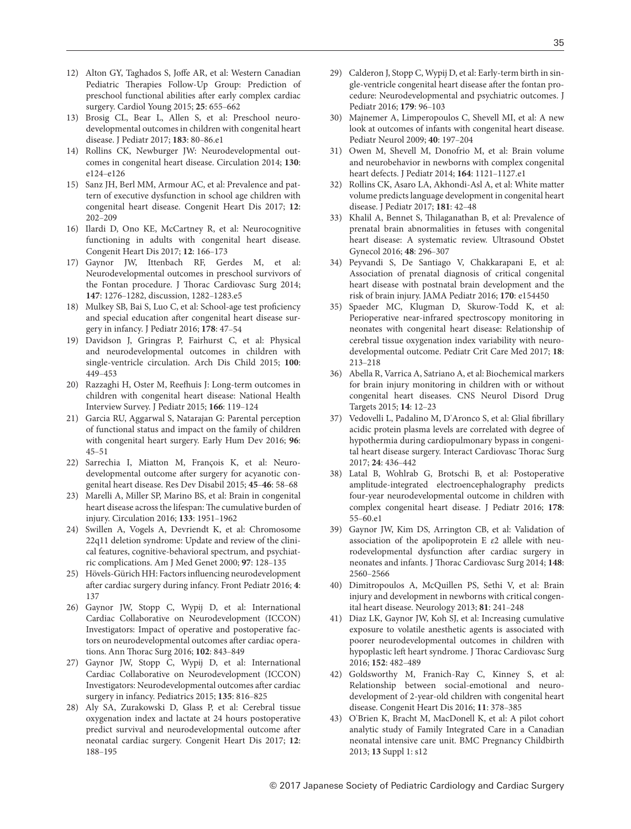- [12\) Alton GY, Taghados S, Joffe AR, et al: Western Canadian](http://dx.doi.org/10.1017/S1047951114000535)  [Pediatric Therapies Follow-Up Group: Prediction of](http://dx.doi.org/10.1017/S1047951114000535)  [preschool functional abilities after early complex cardiac](http://dx.doi.org/10.1017/S1047951114000535)  [surgery. Cardiol Young 2015;](http://dx.doi.org/10.1017/S1047951114000535) **25**: 655‒662
- [13\) Brosig CL, Bear L, Allen S, et al: Preschool neuro](http://dx.doi.org/10.1016/j.jpeds.2016.12.044)[developmental outcomes in children with congenital heart](http://dx.doi.org/10.1016/j.jpeds.2016.12.044)  [disease. J Pediatr 2017;](http://dx.doi.org/10.1016/j.jpeds.2016.12.044) **183**: 80‒86.e1
- [14\) Rollins CK, Newburger JW: Neurodevelopmental out](http://dx.doi.org/10.1161/CIRCULATIONAHA.114.008556)[comes in congenital heart disease. Circulation 2014;](http://dx.doi.org/10.1161/CIRCULATIONAHA.114.008556) **130**: [e124](http://dx.doi.org/10.1161/CIRCULATIONAHA.114.008556)‒e126
- [15\) Sanz JH, Berl MM, Armour AC, et al: Prevalence and pat](http://dx.doi.org/10.1111/chd.12427)[tern of executive dysfunction in school age children with](http://dx.doi.org/10.1111/chd.12427)  [congenital heart disease. Congenit Heart Dis 2017;](http://dx.doi.org/10.1111/chd.12427) **12**: [202](http://dx.doi.org/10.1111/chd.12427)‒209
- [16\) Ilardi D, Ono KE, McCartney R, et al: Neurocognitive](http://dx.doi.org/10.1111/chd.12434)  [functioning in adults with congenital heart disease.](http://dx.doi.org/10.1111/chd.12434)  [Congenit Heart Dis 2017;](http://dx.doi.org/10.1111/chd.12434) **12**: 166‒173
- [17\) Gaynor JW, Ittenbach RF, Gerdes M, et al:](http://dx.doi.org/10.1016/j.jtcvs.2013.12.019)  [Neurodevelopmental outcomes in preschool survivors of](http://dx.doi.org/10.1016/j.jtcvs.2013.12.019)  [the Fontan procedure. J Thorac Cardiovasc Surg 2014;](http://dx.doi.org/10.1016/j.jtcvs.2013.12.019)  **147**: 1276‒[1282, discussion, 1282](http://dx.doi.org/10.1016/j.jtcvs.2013.12.019)‒1283.e5
- [18\) Mulkey SB, Bai S, Luo C, et al: School-age test proficiency](http://dx.doi.org/10.1016/j.jpeds.2016.06.063)  [and special education after congenital heart disease sur](http://dx.doi.org/10.1016/j.jpeds.2016.06.063)[gery in infancy. J Pediatr 2016;](http://dx.doi.org/10.1016/j.jpeds.2016.06.063) **178**: 47‒54
- [19\) Davidson J, Gringras P, Fairhurst C, et al: Physical](http://dx.doi.org/10.1136/archdischild-2014-306449)  [and neurodevelopmental outcomes in children with](http://dx.doi.org/10.1136/archdischild-2014-306449)  [single-ventricle circulation. Arch Dis Child 2015;](http://dx.doi.org/10.1136/archdischild-2014-306449) **100**: [449](http://dx.doi.org/10.1136/archdischild-2014-306449)‒453
- [20\) Razzaghi H, Oster M, Reefhuis J: Long-term outcomes in](http://dx.doi.org/10.1016/j.jpeds.2014.09.006)  [children with congenital heart disease: National Health](http://dx.doi.org/10.1016/j.jpeds.2014.09.006)  [Interview Survey. J Pediatr 2015;](http://dx.doi.org/10.1016/j.jpeds.2014.09.006) **166**: 119‒124
- [21\) Garcia RU, Aggarwal S, Natarajan G: Parental perception](http://dx.doi.org/10.1016/j.earlhumdev.2016.03.004)  [of functional status and impact on the family of children](http://dx.doi.org/10.1016/j.earlhumdev.2016.03.004)  [with congenital heart surgery. Early Hum Dev 2016;](http://dx.doi.org/10.1016/j.earlhumdev.2016.03.004) **96**:  $45 - 51$  $45 - 51$
- [22\) Sarrechia I, Miatton M, François K, et al: Neuro](http://dx.doi.org/10.1016/j.ridd.2015.07.004)[developmental outcome after surgery for acyanotic con](http://dx.doi.org/10.1016/j.ridd.2015.07.004)[genital heart disease. Res Dev Disabil 2015;](http://dx.doi.org/10.1016/j.ridd.2015.07.004) **45**‒**46**: 58‒68
- [23\) Marelli A, Miller SP, Marino BS, et al: Brain in congenital](http://dx.doi.org/10.1161/CIRCULATIONAHA.115.019881)  [heart disease across the lifespan: The cumulative burden of](http://dx.doi.org/10.1161/CIRCULATIONAHA.115.019881)  [injury. Circulation 2016;](http://dx.doi.org/10.1161/CIRCULATIONAHA.115.019881) **133**: 1951‒1962
- [24\) Swillen A, Vogels A, Devriendt K, et al: Chromosome](http://dx.doi.org/10.1002/1096-8628(200022)97:2%3C128::AID-AJMG4%3E3.0.CO;2-Z)  [22q11 deletion syndrome: Update and review of the clini](http://dx.doi.org/10.1002/1096-8628(200022)97:2%3C128::AID-AJMG4%3E3.0.CO;2-Z)[cal features, cognitive-behavioral spectrum, and psychiat](http://dx.doi.org/10.1002/1096-8628(200022)97:2%3C128::AID-AJMG4%3E3.0.CO;2-Z)[ric complications. Am J Med Genet 2000;](http://dx.doi.org/10.1002/1096-8628(200022)97:2%3C128::AID-AJMG4%3E3.0.CO;2-Z) **97**: 128‒135
- 25) Hövels-Gürich HH: Factors influencing neurodevelopment [after cardiac surgery during infancy. Front Pediatr 2016;](http://dx.doi.org/10.3389/fped.2016.00137) **4**: [137](http://dx.doi.org/10.3389/fped.2016.00137)
- [26\) Gaynor JW, Stopp C, Wypij D, et al: International](http://dx.doi.org/10.1016/j.athoracsur.2016.05.081)  [Cardiac Collaborative on Neurodevelopment \(ICCON\)](http://dx.doi.org/10.1016/j.athoracsur.2016.05.081)  [Investigators: Impact of operative and postoperative fac](http://dx.doi.org/10.1016/j.athoracsur.2016.05.081)[tors on neurodevelopmental outcomes after cardiac opera](http://dx.doi.org/10.1016/j.athoracsur.2016.05.081)[tions. Ann Thorac Surg 2016;](http://dx.doi.org/10.1016/j.athoracsur.2016.05.081) **102**: 843‒849
- [27\) Gaynor JW, Stopp C, Wypij D, et al: International](http://dx.doi.org/10.1542/peds.2014-3825)  [Cardiac Collaborative on Neurodevelopment \(ICCON\)](http://dx.doi.org/10.1542/peds.2014-3825)  [Investigators: Neurodevelopmental outcomes after cardiac](http://dx.doi.org/10.1542/peds.2014-3825)  [surgery in infancy. Pediatrics 2015;](http://dx.doi.org/10.1542/peds.2014-3825) **135**: 816‒825
- [28\) Aly SA, Zurakowski D, Glass P, et al: Cerebral tissue](http://dx.doi.org/10.1111/chd.12426)  [oxygenation index and lactate at 24 hours postoperative](http://dx.doi.org/10.1111/chd.12426)  [predict survival and neurodevelopmental outcome after](http://dx.doi.org/10.1111/chd.12426)  [neonatal cardiac surgery. Congenit Heart Dis 2017;](http://dx.doi.org/10.1111/chd.12426) **12**: [188](http://dx.doi.org/10.1111/chd.12426)‒195
- [29\) Calderon J, Stopp C, Wypij D, et al: Early-term birth in sin](http://dx.doi.org/10.1016/j.jpeds.2016.08.084)[gle-ventricle congenital heart disease after the fontan pro](http://dx.doi.org/10.1016/j.jpeds.2016.08.084)[cedure: Neurodevelopmental and psychiatric outcomes. J](http://dx.doi.org/10.1016/j.jpeds.2016.08.084)  [Pediatr 2016;](http://dx.doi.org/10.1016/j.jpeds.2016.08.084) **179**: 96‒103
- [30\) Majnemer A, Limperopoulos C, Shevell MI, et al: A new](http://dx.doi.org/10.1016/j.pediatrneurol.2008.09.014)  [look at outcomes of infants with congenital heart disease.](http://dx.doi.org/10.1016/j.pediatrneurol.2008.09.014)  [Pediatr Neurol 2009;](http://dx.doi.org/10.1016/j.pediatrneurol.2008.09.014) **40**: 197‒204
- [31\) Owen M, Shevell M, Donofrio M, et al: Brain volume](http://dx.doi.org/10.1016/j.jpeds.2013.11.033)  [and neurobehavior in newborns with complex congenital](http://dx.doi.org/10.1016/j.jpeds.2013.11.033)  [heart defects. J Pediatr 2014;](http://dx.doi.org/10.1016/j.jpeds.2013.11.033) **164**: 1121‒1127.e1
- [32\) Rollins CK, Asaro LA, Akhondi-Asl A, et al: White matter](http://dx.doi.org/10.1016/j.jpeds.2016.09.070)  [volume predicts language development in congenital heart](http://dx.doi.org/10.1016/j.jpeds.2016.09.070)  [disease. J Pediatr 2017;](http://dx.doi.org/10.1016/j.jpeds.2016.09.070) **181**: 42‒48
- [33\) Khalil A, Bennet S, Thilaganathan B, et al: Prevalence of](http://dx.doi.org/10.1002/uog.15932)  [prenatal brain abnormalities in fetuses with congenital](http://dx.doi.org/10.1002/uog.15932)  [heart disease: A systematic review. Ultrasound Obstet](http://dx.doi.org/10.1002/uog.15932)  [Gynecol 2016;](http://dx.doi.org/10.1002/uog.15932) **48**: 296‒307
- [34\) Peyvandi S, De Santiago V, Chakkarapani E, et al:](http://dx.doi.org/10.1001/jamapediatrics.2015.4450)  [Association of prenatal diagnosis of critical congenital](http://dx.doi.org/10.1001/jamapediatrics.2015.4450)  [heart disease with postnatal brain development and the](http://dx.doi.org/10.1001/jamapediatrics.2015.4450)  [risk of brain injury. JAMA Pediatr 2016;](http://dx.doi.org/10.1001/jamapediatrics.2015.4450) **170**: e154450
- [35\) Spaeder MC, Klugman D, Skurow-Todd K, et al:](http://dx.doi.org/10.1097/PCC.0000000000001056)  [Perioperative near-infrared spectroscopy monitoring in](http://dx.doi.org/10.1097/PCC.0000000000001056)  [neonates with congenital heart disease: Relationship of](http://dx.doi.org/10.1097/PCC.0000000000001056)  [cerebral tissue oxygenation index variability with neuro](http://dx.doi.org/10.1097/PCC.0000000000001056)[developmental outcome. Pediatr Crit Care Med 2017;](http://dx.doi.org/10.1097/PCC.0000000000001056) **18**: [213](http://dx.doi.org/10.1097/PCC.0000000000001056)‒218
- [36\) Abella R, Varrica A, Satriano A, et al: Biochemical markers](http://dx.doi.org/10.2174/1871527314666150116114648)  [for brain injury monitoring in children with or without](http://dx.doi.org/10.2174/1871527314666150116114648)  [congenital heart diseases. CNS Neurol Disord Drug](http://dx.doi.org/10.2174/1871527314666150116114648)  [Targets 2015;](http://dx.doi.org/10.2174/1871527314666150116114648) **14**: 12‒23
- 37) Vedovelli L, Padalino M, D'Aronco S, et al: Glial fibrillary acidic protein plasma levels are correlated with degree of hypothermia during cardiopulmonary bypass in congenital heart disease surgery. Interact Cardiovasc Thorac Surg 2017; **24**: 436‒442
- [38\) Latal B, Wohlrab G, Brotschi B, et al: Postoperative](http://dx.doi.org/10.1016/j.jpeds.2016.06.050)  [amplitude-integrated electroencephalography predicts](http://dx.doi.org/10.1016/j.jpeds.2016.06.050)  [four-year neurodevelopmental outcome in children with](http://dx.doi.org/10.1016/j.jpeds.2016.06.050)  [complex congenital heart disease. J Pediatr 2016;](http://dx.doi.org/10.1016/j.jpeds.2016.06.050) **178**:  $55 - 60e1$
- [39\) Gaynor JW, Kim DS, Arrington CB, et al: Validation of](http://dx.doi.org/10.1016/j.jtcvs.2014.07.052)  [association of the apolipoprotein E](http://dx.doi.org/10.1016/j.jtcvs.2014.07.052) *ε*2 allele with neu[rodevelopmental dysfunction after cardiac surgery in](http://dx.doi.org/10.1016/j.jtcvs.2014.07.052)  [neonates and infants. J Thorac Cardiovasc Surg 2014;](http://dx.doi.org/10.1016/j.jtcvs.2014.07.052) **148**: 2560‒[2566](http://dx.doi.org/10.1016/j.jtcvs.2014.07.052)
- [40\) Dimitropoulos A, McQuillen PS, Sethi V, et al: Brain](http://dx.doi.org/10.1212/WNL.0b013e31829bfdcf)  [injury and development in newborns with critical congen](http://dx.doi.org/10.1212/WNL.0b013e31829bfdcf)[ital heart disease. Neurology 2013;](http://dx.doi.org/10.1212/WNL.0b013e31829bfdcf) **81**: 241‒248
- [41\) Diaz LK, Gaynor JW, Koh SJ, et al: Increasing cumulative](http://dx.doi.org/10.1016/j.jtcvs.2016.03.095)  [exposure to volatile anesthetic agents is associated with](http://dx.doi.org/10.1016/j.jtcvs.2016.03.095)  [poorer neurodevelopmental outcomes in children with](http://dx.doi.org/10.1016/j.jtcvs.2016.03.095)  [hypoplastic left heart syndrome. J Thorac Cardiovasc Surg](http://dx.doi.org/10.1016/j.jtcvs.2016.03.095)  [2016;](http://dx.doi.org/10.1016/j.jtcvs.2016.03.095) **152**: 482‒489
- [42\) Goldsworthy M, Franich-Ray C, Kinney S, et al:](http://dx.doi.org/10.1111/chd.12320)  [Relationship between social-emotional and neuro](http://dx.doi.org/10.1111/chd.12320)[development of 2-year-old children with congenital heart](http://dx.doi.org/10.1111/chd.12320)  [disease. Congenit Heart Dis 2016;](http://dx.doi.org/10.1111/chd.12320) **11**: 378‒385
- 43) O'[Brien K, Bracht M, MacDonell K, et al: A pilot cohort](http://dx.doi.org/10.1186/1471-2393-13-S1-S12)  [analytic study of Family Integrated Care in a Canadian](http://dx.doi.org/10.1186/1471-2393-13-S1-S12)  [neonatal intensive care unit. BMC Pregnancy Childbirth](http://dx.doi.org/10.1186/1471-2393-13-S1-S12)  2013; **13** [Suppl 1: s12](http://dx.doi.org/10.1186/1471-2393-13-S1-S12)